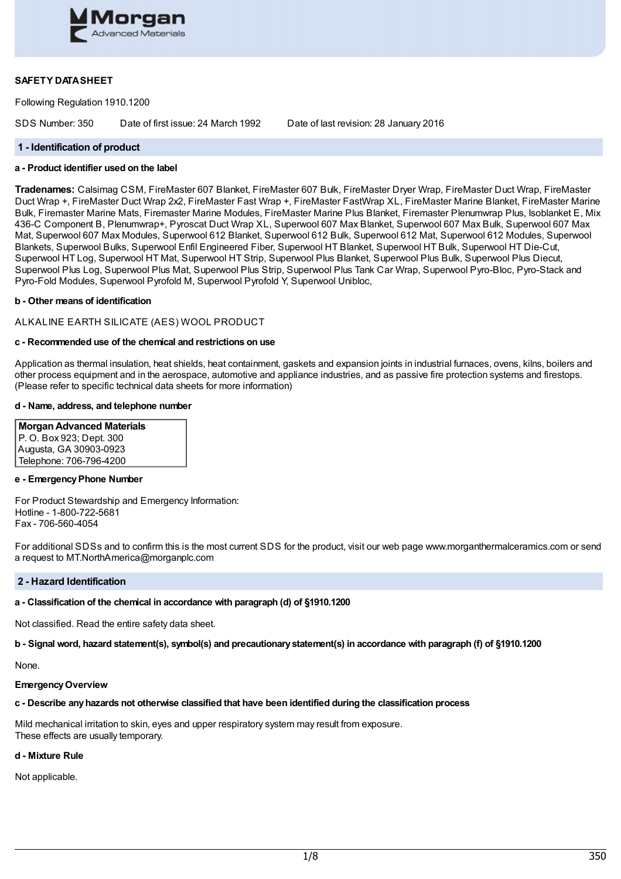

# **SAFETY DATASHEET**

Following Regulation 1910.1200

SDS Number: 350 Date of first issue: 24 March 1992 Date of last revision: 28 January 2016

#### **1 - Identification of product**

# **a - Product identifier used on the label**

**Tradenames:** Calsimag CSM, FireMaster 607 Blanket, FireMaster 607 Bulk, FireMaster Dryer Wrap, FireMaster Duct Wrap, FireMaster Duct Wrap +, FireMaster Duct Wrap 2x2, FireMaster Fast Wrap +, FireMaster FastWrap XL, FireMaster Marine Blanket, FireMaster Marine Bulk, Firemaster Marine Mats, Firemaster Marine Modules, FireMaster Marine Plus Blanket, Firemaster Plenumwrap Plus, Isoblanket E, Mix 436-C Component B, Plenumwrap+, Pyroscat Duct Wrap XL, Superwool 607 Max Blanket, Superwool 607 Max Bulk, Superwool 607 Max Mat, Superwool 607 Max Modules, Superwool 612 Blanket, Superwool 612 Bulk, Superwool 612 Mat, Superwool 612 Modules, Superwool Blankets, Superwool Bulks, Superwool Enfil Engineered Fiber, Superwool HT Blanket, Superwool HT Bulk, Superwool HT Die-Cut, Superwool HT Log, Superwool HT Mat, Superwool HT Strip, Superwool Plus Blanket, Superwool Plus Bulk, Superwool Plus Diecut, Superwool Plus Log, Superwool Plus Mat, Superwool Plus Strip, Superwool Plus Tank Car Wrap, Superwool Pyro-Bloc, Pyro-Stack and Pyro-Fold Modules, Superwool Pyrofold M, Superwool Pyrofold Y, Superwool Unibloc,

#### **b - Other means of identification**

#### ALKALINE EARTH SILICATE (AES) WOOL PRODUCT

#### **c - Recommended use of the chemical and restrictions on use**

Application as thermal insulation, heat shields, heat containment, gaskets and expansion joints in industrial furnaces, ovens, kilns, boilers and other process equipment and in the aerospace, automotive and appliance industries, and as passive fire protection systems and firestops. (Please refer to specific technical data sheets for more information)

#### **d - Name, address, and telephone number**

**MorganAdvanced Materials** P. O. Box 923; Dept. 300 Augusta, GA 30903-0923 Telephone: 706-796-4200

# **e - EmergencyPhone Number**

For Product Stewardship and Emergency Information: Hotline - 1-800-722-5681 Fax - 706-560-4054

For additional SDSs and to confirm this is the most current SDS for the product, visit our web page www.morganthermalceramics.com or send a request to MT.NorthAmerica@morganplc.com

#### **2 - Hazard Identification**

#### **a - Classification of the chemical in accordance with paragraph (d) of §1910.1200**

Not classified. Read the entire safety data sheet.

b - Signal word, hazard statement(s), symbol(s) and precautionary statement(s) in accordance with paragraph (f) of §1910.1200

None.

#### **EmergencyOverview**

#### **c - Describe anyhazards not otherwise classified that have been identified during the classification process**

Mild mechanical irritation to skin, eyes and upper respiratory system may result from exposure. These effects are usually temporary.

#### **d - Mixture Rule**

Not applicable.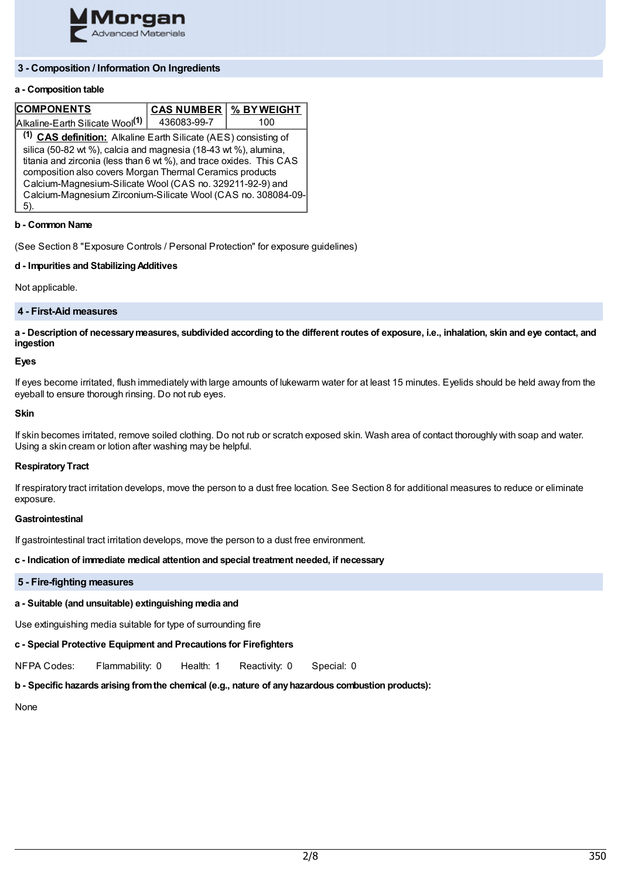

# **3 - Composition / Information On Ingredients**

# **a - Composition table**

| <b>COMPONENTS</b>                                                          | <b>CAS NUMBER</b> | % BYWEIGHT |  |  |
|----------------------------------------------------------------------------|-------------------|------------|--|--|
| Alkaline-Earth Silicate Wool <sup>(1)</sup>                                | 436083-99-7       | 100        |  |  |
| <sup>(1)</sup> CAS definition: Alkaline Earth Silicate (AES) consisting of |                   |            |  |  |
| silica (50-82 wt %), calcia and magnesia (18-43 wt %), alumina,            |                   |            |  |  |
| titania and zirconia (less than 6 wt %), and trace oxides. This CAS        |                   |            |  |  |
| composition also covers Morgan Thermal Ceramics products                   |                   |            |  |  |
| Calcium-Magnesium-Silicate Wool (CAS no. 329211-92-9) and                  |                   |            |  |  |
| Calcium-Magnesium Zirconium-Silicate Wool (CAS no. 308084-09-              |                   |            |  |  |
|                                                                            |                   |            |  |  |

# **b - Common Name**

(See Section 8 "Exposure Controls / Personal Protection" for exposure guidelines)

# **d - Impurities and StabilizingAdditives**

Not applicable.

# **4 - First-Aid measures**

a - Description of necessary measures, subdivided according to the different routes of exposure, i.e., inhalation, skin and eye contact, and **ingestion**

# **Eyes**

If eyes become irritated, flush immediately with large amounts of lukewarm water for at least 15 minutes. Eyelids should be held away from the eyeball to ensure thorough rinsing. Do not rub eyes.

#### **Skin**

If skin becomes irritated, remove soiled clothing. Do not rub or scratch exposed skin. Wash area of contact thoroughly with soap and water. Using a skin cream or lotion after washing may be helpful.

#### **Respiratory Tract**

If respiratory tract irritation develops, move the person to a dust free location. See Section 8 for additional measures to reduce or eliminate exposure.

# **Gastrointestinal**

If gastrointestinal tract irritation develops, move the person to a dust free environment.

# **c - Indication of immediate medical attention and special treatment needed, if necessary**

# **5 - Fire-fighting measures**

# **a - Suitable (and unsuitable) extinguishing media and**

Use extinguishing media suitable for type of surrounding fire

# **c - Special Protective Equipment and Precautions for Firefighters**

NFPA Codes: Flammability: 0 Health: 1 Reactivity: 0 Special: 0

# **b - Specific hazards arising fromthe chemical (e.g., nature of anyhazardous combustion products):**

None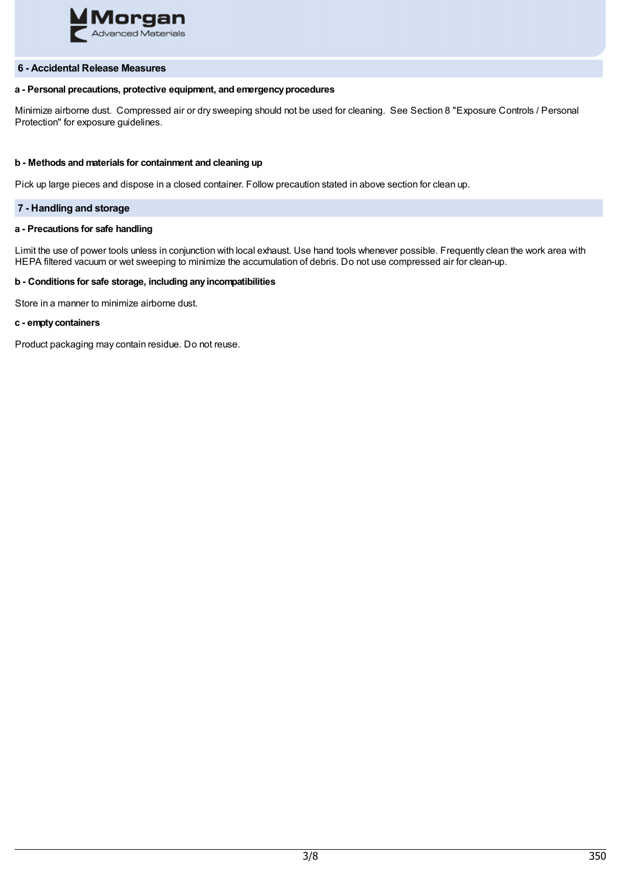

# **6 - Accidental Release Measures**

# **a - Personal precautions, protective equipment, and emergencyprocedures**

Minimize airborne dust. Compressed air or dry sweeping should not be used for cleaning. See Section 8 "Exposure Controls / Personal Protection" for exposure guidelines.

# **b - Methods and materials for containment and cleaning up**

Pick up large pieces and dispose in a closed container. Follow precaution stated in above section for clean up.

# **7 - Handling and storage**

# **a - Precautions for safe handling**

Limit the use of power tools unless in conjunction with local exhaust. Use hand tools whenever possible. Frequently clean the work area with HEPA filtered vacuum or wet sweeping to minimize the accumulation of debris. Do not use compressed air for clean-up.

# **b - Conditions for safe storage, including anyincompatibilities**

Store in a manner to minimize airborne dust.

## **c - emptycontainers**

Product packaging may contain residue. Do not reuse.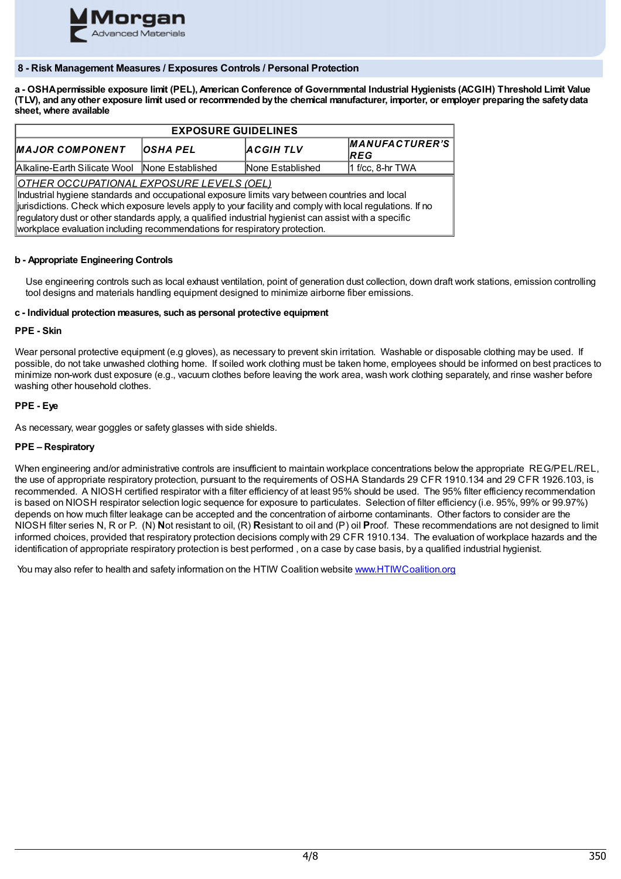

# **8 - Risk Management Measures / Exposures Controls / Personal Protection**

a - OSHA permissible exposure limit (PEL), American Conference of Governmental Industrial Hygienists (ACGIH) Threshold Limit Value (TLV), and any other exposure limit used or recommended by the chemical manufacturer, importer, or employer preparing the safety data **sheet, where available**

| <b>EXPOSURE GUIDELINES</b>                                                                                                                                                                                                                                                                                                                                                                                                                              |                 |                  |                               |  |  |
|---------------------------------------------------------------------------------------------------------------------------------------------------------------------------------------------------------------------------------------------------------------------------------------------------------------------------------------------------------------------------------------------------------------------------------------------------------|-----------------|------------------|-------------------------------|--|--|
| <b>MAJOR COMPONENT</b>                                                                                                                                                                                                                                                                                                                                                                                                                                  | <b>OSHA PEL</b> | <b>ACGIHTLV</b>  | MANUFACTURER'S<br><b>IREG</b> |  |  |
| Alkaline-Earth Silicate Wool None Established                                                                                                                                                                                                                                                                                                                                                                                                           |                 | None Established | $1$ f/cc, 8-hr TWA            |  |  |
| <u> OTHER OCCUPATIONAL EXPOSURE LEVELS (OEL)</u><br>Industrial hygiene standards and occupational exposure limits vary between countries and local<br>iurisdictions. Check which exposure levels apply to your facility and comply with local regulations. If no<br>regulatory dust or other standards apply, a qualified industrial hygienist can assist with a specific<br>workplace evaluation including recommendations for respiratory protection. |                 |                  |                               |  |  |

# **b - Appropriate Engineering Controls**

Use engineering controls such as local exhaust ventilation, point of generation dust collection, down draft work stations, emission controlling tool designs and materials handling equipment designed to minimize airborne fiber emissions.

# **c - Individual protection measures, such as personal protective equipment**

# **PPE - Skin**

Wear personal protective equipment (e.g gloves), as necessary to prevent skin irritation. Washable or disposable clothing may be used. If possible, do not take unwashed clothing home. If soiled work clothing must be taken home, employees should be informed on best practices to minimize non-work dust exposure (e.g., vacuum clothes before leaving the work area, wash work clothing separately, and rinse washer before washing other household clothes.

# **PPE - Eye**

As necessary, wear goggles or safety glasses with side shields.

# **PPE – Respiratory**

When engineering and/or administrative controls are insufficient to maintain workplace concentrations below the appropriate REG/PEL/REL, the use of appropriate respiratory protection, pursuant to the requirements of OSHA Standards 29 CFR 1910.134 and 29 CFR 1926.103, is recommended. A NIOSH certified respirator with a filter efficiency of at least 95% should be used. The 95% filter efficiency recommendation is based on NIOSH respirator selection logic sequence for exposure to particulates. Selection of filter efficiency (i.e. 95%, 99% or 99.97%) depends on how much filter leakage can be accepted and the concentration of airborne contaminants. Other factors to consider are the NIOSH filter series N, R or P. (N) **N**ot resistant to oil, (R) **R**esistant to oil and (P) oil **P**roof. These recommendations are not designed to limit informed choices, provided that respiratory protection decisions comply with 29 CFR 1910.134. The evaluation of workplace hazards and the identification of appropriate respiratory protection is best performed , on a case by case basis, by a qualified industrial hygienist.

You may also refer to health and safety information on the HTIW Coalition website [www.HTIWCoalition.org](http://www.htiwcoalition.org/)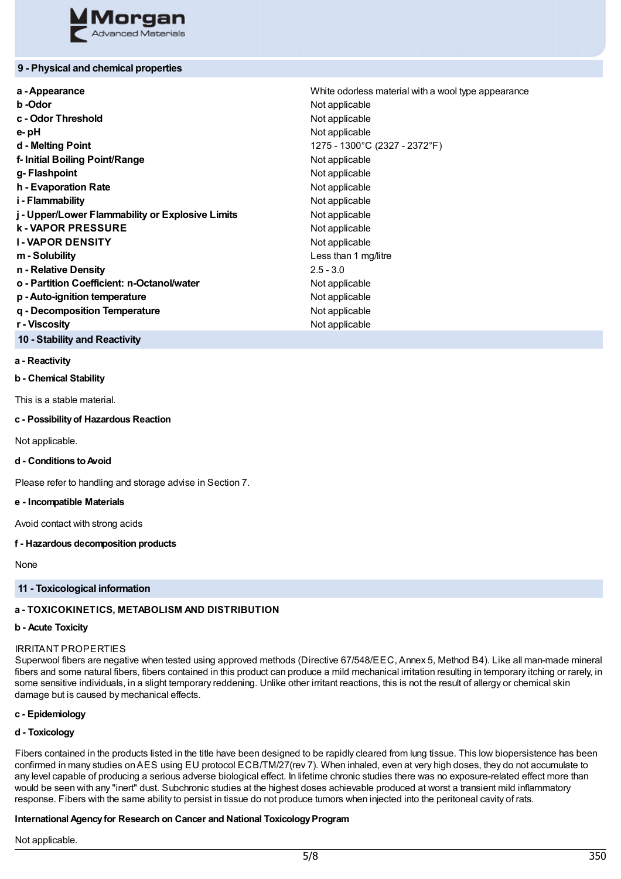

# **9 - Physical and chemical properties**

| a - Appearance                                   | White odorless material with a wool type appearance |  |
|--------------------------------------------------|-----------------------------------------------------|--|
| b-Odor                                           | Not applicable                                      |  |
| c - Odor Threshold                               | Not applicable                                      |  |
| e-pH                                             | Not applicable                                      |  |
| d - Melting Point                                | 1275 - 1300°C (2327 - 2372°F)                       |  |
| f-Initial Boiling Point/Range                    | Not applicable                                      |  |
| g-Flashpoint                                     | Not applicable                                      |  |
| h - Evaporation Rate                             | Not applicable                                      |  |
| i - Flammability                                 | Not applicable                                      |  |
| j - Upper/Lower Flammability or Explosive Limits | Not applicable                                      |  |
| <b>k-VAPOR PRESSURE</b>                          | Not applicable                                      |  |
| <b>I-VAPOR DENSITY</b>                           | Not applicable                                      |  |
| m - Solubility                                   | Less than 1 mg/litre                                |  |
| n - Relative Density                             | $2.5 - 3.0$                                         |  |
| o - Partition Coefficient: n-Octanol/water       | Not applicable                                      |  |
| p - Auto-ignition temperature                    | Not applicable                                      |  |
| q - Decomposition Temperature                    | Not applicable                                      |  |
| r - Viscosity                                    | Not applicable                                      |  |

**10 - Stability and Reactivity**

#### **a - Reactivity**

**b - Chemical Stability**

This is a stable material.

## **c - Possibilityof Hazardous Reaction**

Not applicable.

#### **d - Conditions toAvoid**

Please refer to handling and storage advise in Section 7.

#### **e - Incompatible Materials**

Avoid contact with strong acids

#### **f - Hazardous decomposition products**

None

# **11 - Toxicological information**

# **a - TOXICOKINETICS, METABOLISM AND DISTRIBUTION**

# **b - Acute Toxicity**

# IRRITANT PROPERTIES

Superwool fibers are negative when tested using approved methods (Directive 67/548/EEC, Annex 5, Method B4). Like all man-made mineral fibers and some natural fibers, fibers contained in this product can produce a mild mechanical irritation resulting in temporary itching or rarely, in some sensitive individuals, in a slight temporary reddening. Unlike other irritant reactions, this is not the result of allergy or chemical skin damage but is caused by mechanical effects.

# **c - Epidemiology**

# **d - Toxicology**

Fibers contained in the products listed in the title have been designed to be rapidly cleared from lung tissue. This low biopersistence has been confirmed in many studies onAES using EU protocol ECB/TM/27(rev 7). When inhaled, even at very high doses, they do not accumulate to any level capable of producing a serious adverse biological effect. In lifetime chronic studies there was no exposure-related effect more than would be seen with any "inert" dust. Subchronic studies at the highest doses achievable produced at worst a transient mild inflammatory response. Fibers with the same ability to persist in tissue do not produce tumors when injected into the peritoneal cavity of rats.

# **International Agency for Research on Cancer and National Toxicology Program**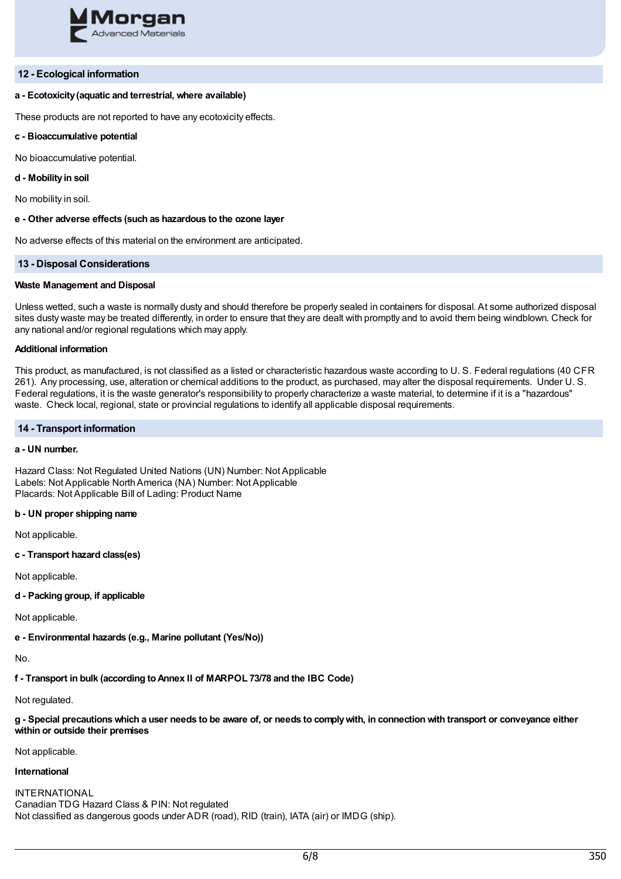

#### **12 - Ecological information**

#### **a - Ecotoxicity(aquatic and terrestrial, where available)**

These products are not reported to have any ecotoxicity effects.

#### **c - Bioaccumulative potential**

No bioaccumulative potential.

#### **d - Mobilityin soil**

No mobility in soil.

#### **e - Other adverse effects (such as hazardous to the ozone layer**

No adverse effects of this material on the environment are anticipated.

#### **13 - Disposal Considerations**

#### **Waste Management and Disposal**

Unless wetted, such a waste is normally dusty and should therefore be properly sealed in containers for disposal. At some authorized disposal sites dusty waste may be treated differently, in order to ensure that they are dealt with promptly and to avoid them being windblown. Check for any national and/or regional regulations which may apply.

#### **Additional information**

This product, as manufactured, is not classified as a listed or characteristic hazardous waste according to U. S. Federal regulations (40 CFR 261). Any processing, use, alteration or chemical additions to the product, as purchased, may alter the disposal requirements. Under U. S. Federal regulations, it is the waste generator's responsibility to properly characterize a waste material, to determine if it is a "hazardous" waste. Check local, regional, state or provincial regulations to identify all applicable disposal requirements.

#### **14 - Transport information**

# **a - UN number.**

Hazard Class: Not Regulated United Nations (UN) Number: Not Applicable Labels: Not Applicable NorthAmerica (NA) Number: Not Applicable Placards: Not Applicable Bill of Lading: Product Name

#### **b - UN proper shipping name**

Not applicable.

**c - Transport hazard class(es)**

Not applicable.

**d - Packing group, if applicable**

Not applicable.

**e - Environmental hazards (e.g., Marine pollutant (Yes/No))**

No.

**f - Transport in bulk (according toAnnex II of MARPOL 73/78 and the IBC Code)**

Not regulated.

g - Special precautions which a user needs to be aware of, or needs to comply with, in connection with transport or conveyance either **within or outside their premises**

Not applicable.

# **International**

INTERNATIONAL Canadian TDG Hazard Class & PIN: Not regulated Not classified as dangerous goods under ADR (road), RID (train), IATA (air) or IMDG (ship).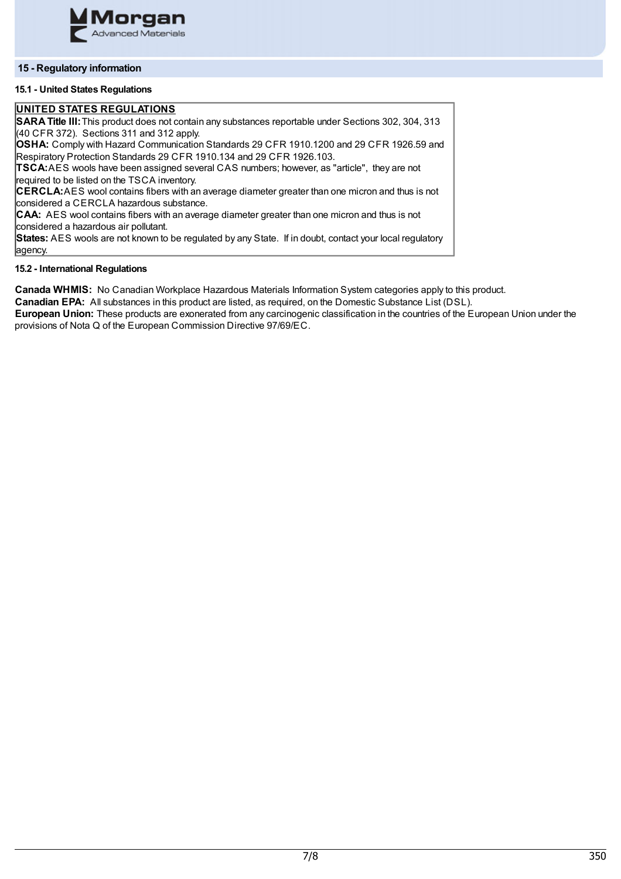

# **15 - Regulatory information**

# **15.1 - United States Regulations**

# **UNITED STATES REGULATIONS**

**SARATitle III:**This product does not contain any substances reportable under Sections 302, 304, 313  $(40$  CFR 372). Sections 311 and 312 apply. **OSHA:** Comply with Hazard Communication Standards 29 CFR 1910.1200 and 29 CFR 1926.59 and Respiratory Protection Standards 29 CFR 1910.134 and 29 CFR 1926.103. **TSCA:**AES wools have been assigned several CAS numbers; however, as "article", they are not required to be listed on the TSCA inventory. **CERCLA:**AES wool contains fibers with an average diameter greater than one micron and thus is not considered a CERCLA hazardous substance. **CAA:** AES wool contains fibers with an average diameter greater than one micron and thus is not considered a hazardous air pollutant. **States:** AES wools are not known to be regulated by any State. If in doubt, contact your local regulatory agency.

# **15.2 - International Regulations**

**Canada WHMIS:** No Canadian Workplace Hazardous Materials Information System categories apply to this product.

**Canadian EPA:** All substances in this product are listed, as required, on the Domestic Substance List (DSL).

**European Union:** These products are exonerated from any carcinogenic classification in the countries of the European Union under the provisions of Nota Q of the European Commission Directive 97/69/EC.